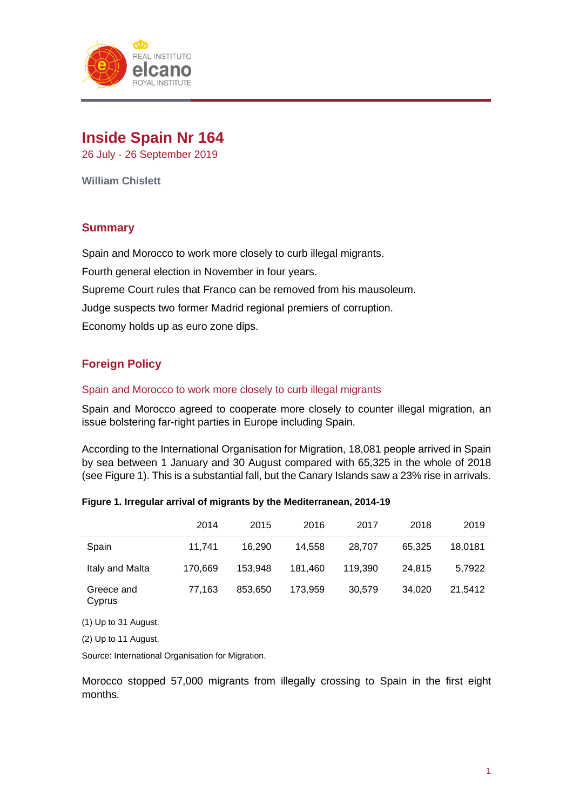

# **Inside Spain Nr 164**

26 July - 26 September 2019

**William Chislett**

## **Summary**

Spain and Morocco to work more closely to curb illegal migrants. Fourth general election in November in four years. Supreme Court rules that Franco can be removed from his mausoleum. Judge suspects two former Madrid regional premiers of corruption. Economy holds up as euro zone dips.

# **Foreign Policy**

## Spain and Morocco to work more closely to curb illegal migrants

Spain and Morocco agreed to cooperate more closely to counter illegal migration, an issue bolstering far-right parties in Europe including Spain.

According to the International Organisation for Migration, 18,081 people arrived in Spain by sea between 1 January and 30 August compared with 65,325 in the whole of 2018 (see Figure 1). This is a substantial fall, but the Canary Islands saw a 23% rise in arrivals.

|                         | 2014    | 2015    | 2016    | 2017    | 2018   | 2019    |
|-------------------------|---------|---------|---------|---------|--------|---------|
| Spain                   | 11,741  | 16.290  | 14.558  | 28,707  | 65.325 | 18,0181 |
| Italy and Malta         | 170,669 | 153.948 | 181.460 | 119.390 | 24.815 | 5,7922  |
| Greece and<br>Cyprus    | 77,163  | 853.650 | 173.959 | 30,579  | 34.020 | 21,5412 |
| $(1)$ I In to 21 August |         |         |         |         |        |         |

## **Figure 1. Irregular arrival of migrants by the Mediterranean, 2014-19**

(1) Up to 31 August.

(2) Up to 11 August.

Source: International Organisation for Migration.

Morocco stopped 57,000 migrants from illegally crossing to Spain in the first eight months.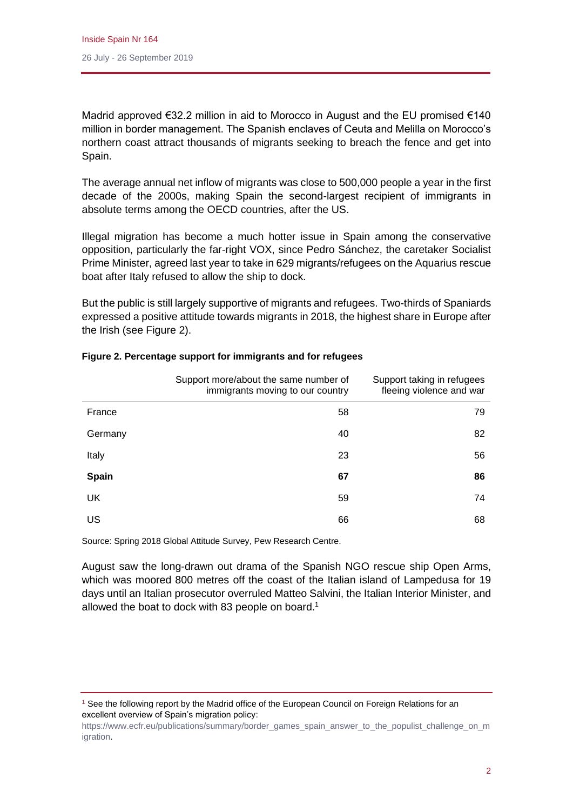Madrid approved €32.2 million in aid to Morocco in August and the EU promised €140 million in border management. The Spanish enclaves of Ceuta and Melilla on Morocco's northern coast attract thousands of migrants seeking to breach the fence and get into Spain.

The average annual net inflow of migrants was close to 500,000 people a year in the first decade of the 2000s, making Spain the second-largest recipient of immigrants in absolute terms among the OECD countries, after the US.

Illegal migration has become a much hotter issue in Spain among the conservative opposition, particularly the far-right VOX, since Pedro Sánchez, the caretaker Socialist Prime Minister, agreed last year to take in 629 migrants/refugees on the Aquarius rescue boat after Italy refused to allow the ship to dock.

But the public is still largely supportive of migrants and refugees. Two-thirds of Spaniards expressed a positive attitude towards migrants in 2018, the highest share in Europe after the Irish (see Figure 2).

|              | Support more/about the same number of<br>immigrants moving to our country | Support taking in refugees<br>fleeing violence and war |
|--------------|---------------------------------------------------------------------------|--------------------------------------------------------|
| France       | 58                                                                        | 79                                                     |
| Germany      | 40                                                                        | 82                                                     |
| Italy        | 23                                                                        | 56                                                     |
| <b>Spain</b> | 67                                                                        | 86                                                     |
| UK           | 59                                                                        | 74                                                     |
| US           | 66                                                                        | 68                                                     |

## **Figure 2. Percentage support for immigrants and for refugees**

Source: Spring 2018 Global Attitude Survey, Pew Research Centre.

August saw the long-drawn out drama of the Spanish NGO rescue ship Open Arms, which was moored 800 metres off the coast of the Italian island of Lampedusa for 19 days until an Italian prosecutor overruled Matteo Salvini, the Italian Interior Minister, and allowed the boat to dock with 83 people on board. 1

<sup>&</sup>lt;sup>1</sup> See the following report by the Madrid office of the European Council on Foreign Relations for an excellent overview of Spain's migration policy:

[https://www.ecfr.eu/publications/summary/border\\_games\\_spain\\_answer\\_to\\_the\\_populist\\_challenge\\_on\\_m](https://www.ecfr.eu/publications/summary/border_games_spain_answer_to_the_populist_challenge_on_migration) [igration.](https://www.ecfr.eu/publications/summary/border_games_spain_answer_to_the_populist_challenge_on_migration)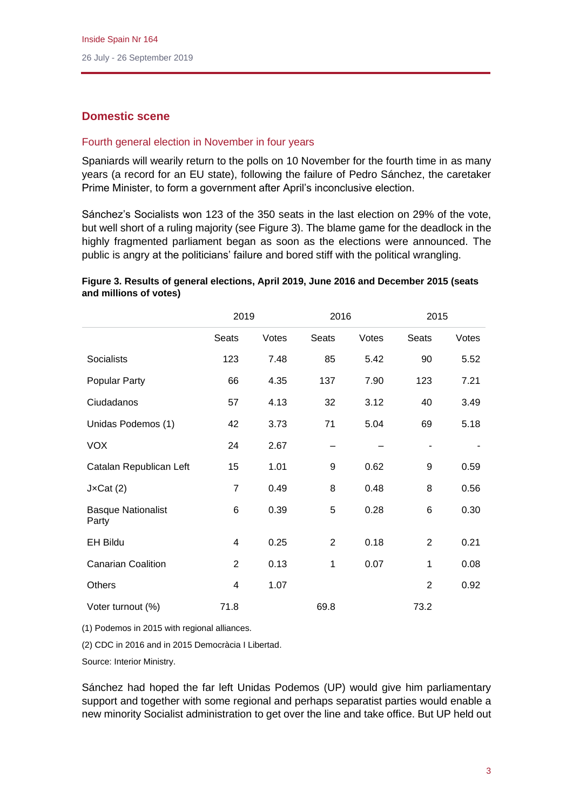# **Domestic scene**

## Fourth general election in November in four years

Spaniards will wearily return to the polls on 10 November for the fourth time in as many years (a record for an EU state), following the failure of Pedro Sánchez, the caretaker Prime Minister, to form a government after April's inconclusive election.

Sánchez's Socialists won 123 of the 350 seats in the last election on 29% of the vote, but well short of a ruling majority (see Figure 3). The blame game for the deadlock in the highly fragmented parliament began as soon as the elections were announced. The public is angry at the politicians' failure and bored stiff with the political wrangling.

## **Figure 3. Results of general elections, April 2019, June 2016 and December 2015 (seats and millions of votes)**

|                                    | 2019                    |       | 2016           |       | 2015           |       |
|------------------------------------|-------------------------|-------|----------------|-------|----------------|-------|
|                                    | <b>Seats</b>            | Votes | <b>Seats</b>   | Votes | Seats          | Votes |
| <b>Socialists</b>                  | 123                     | 7.48  | 85             | 5.42  | 90             | 5.52  |
| Popular Party                      | 66                      | 4.35  | 137            | 7.90  | 123            | 7.21  |
| Ciudadanos                         | 57                      | 4.13  | 32             | 3.12  | 40             | 3.49  |
| Unidas Podemos (1)                 | 42                      | 3.73  | 71             | 5.04  | 69             | 5.18  |
| <b>VOX</b>                         | 24                      | 2.67  |                |       |                |       |
| Catalan Republican Left            | 15                      | 1.01  | 9              | 0.62  | 9              | 0.59  |
| $J \times Cat(2)$                  | $\overline{7}$          | 0.49  | 8              | 0.48  | 8              | 0.56  |
| <b>Basque Nationalist</b><br>Party | 6                       | 0.39  | 5              | 0.28  | $\,6$          | 0.30  |
| <b>EH Bildu</b>                    | $\overline{\mathbf{4}}$ | 0.25  | $\overline{2}$ | 0.18  | $\overline{2}$ | 0.21  |
| <b>Canarian Coalition</b>          | $\overline{2}$          | 0.13  | 1              | 0.07  | 1              | 0.08  |
| Others                             | 4                       | 1.07  |                |       | $\overline{2}$ | 0.92  |
| Voter turnout (%)                  | 71.8                    |       | 69.8           |       | 73.2           |       |

(1) Podemos in 2015 with regional alliances.

(2) CDC in 2016 and in 2015 Democràcia I Libertad.

Source: Interior Ministry.

Sánchez had hoped the far left Unidas Podemos (UP) would give him parliamentary support and together with some regional and perhaps separatist parties would enable a new minority Socialist administration to get over the line and take office. But UP held out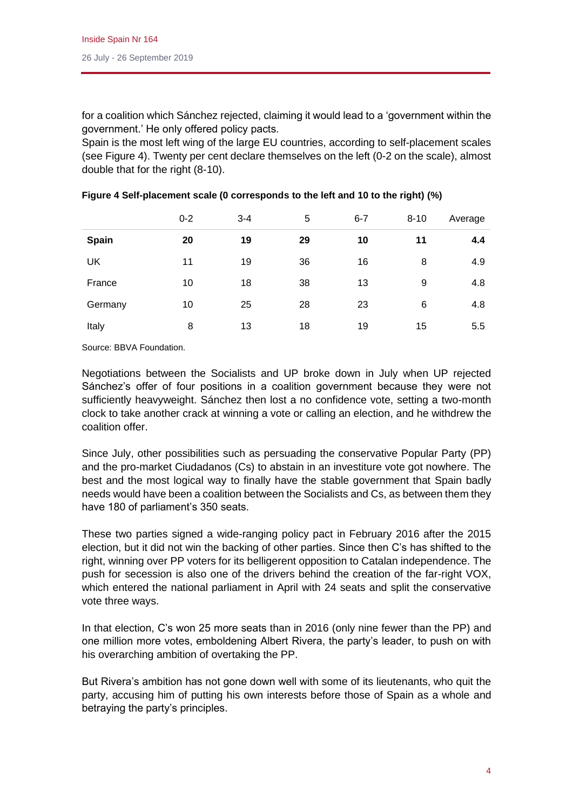for a coalition which Sánchez rejected, claiming it would lead to a 'government within the government.' He only offered policy pacts.

Spain is the most left wing of the large EU countries, according to self-placement scales (see Figure 4). Twenty per cent declare themselves on the left (0-2 on the scale), almost double that for the right (8-10).

|              | $0 - 2$ | $3 - 4$ | 5  | $6 - 7$ | $8 - 10$ | Average |
|--------------|---------|---------|----|---------|----------|---------|
| <b>Spain</b> | 20      | 19      | 29 | 10      | 11       | 4.4     |
| UK           | 11      | 19      | 36 | 16      | 8        | 4.9     |
| France       | 10      | 18      | 38 | 13      | 9        | 4.8     |
| Germany      | 10      | 25      | 28 | 23      | 6        | 4.8     |
| Italy        | 8       | 13      | 18 | 19      | 15       | 5.5     |

**Figure 4 Self-placement scale (0 corresponds to the left and 10 to the right) (%)**

Source: BBVA Foundation.

Negotiations between the Socialists and UP broke down in July when UP rejected Sánchez's offer of four positions in a coalition government because they were not sufficiently heavyweight. Sánchez then lost a no confidence vote, setting a two-month clock to take another crack at winning a vote or calling an election, and he withdrew the coalition offer.

Since July, other possibilities such as persuading the conservative Popular Party (PP) and the pro-market Ciudadanos (Cs) to abstain in an investiture vote got nowhere. The best and the most logical way to finally have the stable government that Spain badly needs would have been a coalition between the Socialists and Cs, as between them they have 180 of parliament's 350 seats.

These two parties signed a wide-ranging policy pact in February 2016 after the 2015 election, but it did not win the backing of other parties. Since then C's has shifted to the right, winning over PP voters for its belligerent opposition to Catalan independence. The push for secession is also one of the drivers behind the creation of the far-right VOX, which entered the national parliament in April with 24 seats and split the conservative vote three ways.

In that election, C's won 25 more seats than in 2016 (only nine fewer than the PP) and one million more votes, emboldening Albert Rivera, the party's leader, to push on with his overarching ambition of overtaking the PP.

But Rivera's ambition has not gone down well with some of its lieutenants, who quit the party, accusing him of putting his own interests before those of Spain as a whole and betraying the party's principles.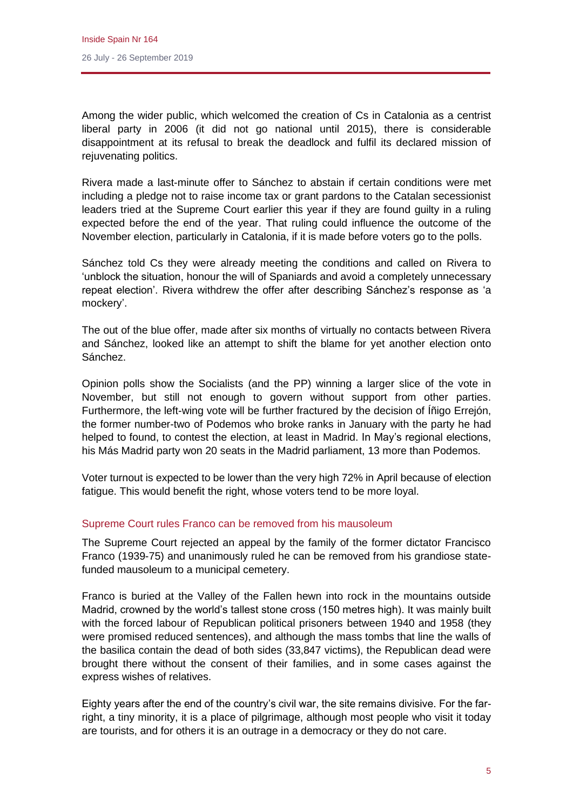Among the wider public, which welcomed the creation of Cs in Catalonia as a centrist liberal party in 2006 (it did not go national until 2015), there is considerable disappointment at its refusal to break the deadlock and fulfil its declared mission of rejuvenating politics.

Rivera made a last-minute offer to Sánchez to abstain if certain conditions were met including a pledge not to raise income tax or grant pardons to the Catalan secessionist leaders tried at the Supreme Court earlier this year if they are found guilty in a ruling expected before the end of the year. That ruling could influence the outcome of the November election, particularly in Catalonia, if it is made before voters go to the polls.

Sánchez told Cs they were already meeting the conditions and called on Rivera to 'unblock the situation, honour the will of Spaniards and avoid a completely unnecessary repeat election'. Rivera withdrew the offer after describing Sánchez's response as 'a mockery'.

The out of the blue offer, made after six months of virtually no contacts between Rivera and Sánchez, looked like an attempt to shift the blame for yet another election onto Sánchez.

Opinion polls show the Socialists (and the PP) winning a larger slice of the vote in November, but still not enough to govern without support from other parties. Furthermore, the left-wing vote will be further fractured by the decision of Íñigo Errejón, the former number-two of Podemos who broke ranks in January with the party he had helped to found, to contest the election, at least in Madrid. In May's regional elections, his Más Madrid party won 20 seats in the Madrid parliament, 13 more than Podemos.

Voter turnout is expected to be lower than the very high 72% in April because of election fatigue. This would benefit the right, whose voters tend to be more loyal.

## Supreme Court rules Franco can be removed from his mausoleum

The Supreme Court rejected an appeal by the family of the former dictator Francisco Franco (1939-75) and unanimously ruled he can be removed from his grandiose statefunded mausoleum to a municipal cemetery.

Franco is buried at the Valley of the Fallen hewn into rock in the mountains outside Madrid, crowned by the world's tallest stone cross (150 metres high). It was mainly built with the forced labour of Republican political prisoners between 1940 and 1958 (they were promised reduced sentences), and although the mass tombs that line the walls of the basilica contain the dead of both sides (33,847 victims), the Republican dead were brought there without the consent of their families, and in some cases against the express wishes of relatives.

Eighty years after the end of the country's civil war, the site remains divisive. For the farright, a tiny minority, it is a place of pilgrimage, although most people who visit it today are tourists, and for others it is an outrage in a democracy or they do not care.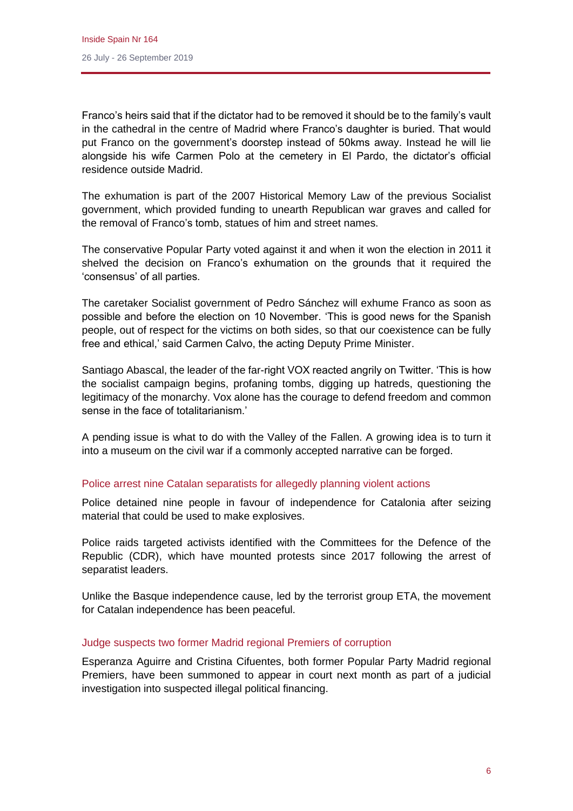Franco's heirs said that if the dictator had to be removed it should be to the family's vault in the cathedral in the centre of Madrid where Franco's daughter is buried. That would put Franco on the government's doorstep instead of 50kms away. Instead he will lie alongside his wife Carmen Polo at the cemetery in El Pardo, the dictator's official residence outside Madrid.

The exhumation is part of the 2007 Historical Memory Law of the previous Socialist government, which provided funding to unearth Republican war graves and called for the removal of Franco's tomb, statues of him and street names.

The conservative Popular Party voted against it and when it won the election in 2011 it shelved the decision on Franco's exhumation on the grounds that it required the 'consensus' of all parties.

The caretaker Socialist government of Pedro Sánchez will exhume Franco as soon as possible and before the election on 10 November. 'This is good news for the Spanish people, out of respect for the victims on both sides, so that our coexistence can be fully free and ethical,' said Carmen Calvo, the acting Deputy Prime Minister.

Santiago Abascal, the leader of the far-right VOX reacted angrily on Twitter. 'This is how the socialist campaign begins, profaning tombs, digging up hatreds, questioning the legitimacy of the monarchy. Vox alone has the courage to defend freedom and common sense in the face of totalitarianism.'

A pending issue is what to do with the Valley of the Fallen. A growing idea is to turn it into a museum on the civil war if a commonly accepted narrative can be forged.

## Police arrest nine Catalan separatists for allegedly planning violent actions

Police detained nine people in favour of independence for Catalonia after seizing material that could be used to make explosives.

Police raids targeted activists identified with the Committees for the Defence of the Republic (CDR), which have mounted protests since 2017 following the arrest of separatist leaders.

Unlike the Basque independence cause, led by the terrorist group ETA, the movement for Catalan independence has been peaceful.

#### Judge suspects two former Madrid regional Premiers of corruption

Esperanza Aguirre and Cristina Cifuentes, both former Popular Party Madrid regional Premiers, have been summoned to appear in court next month as part of a judicial investigation into suspected illegal political financing.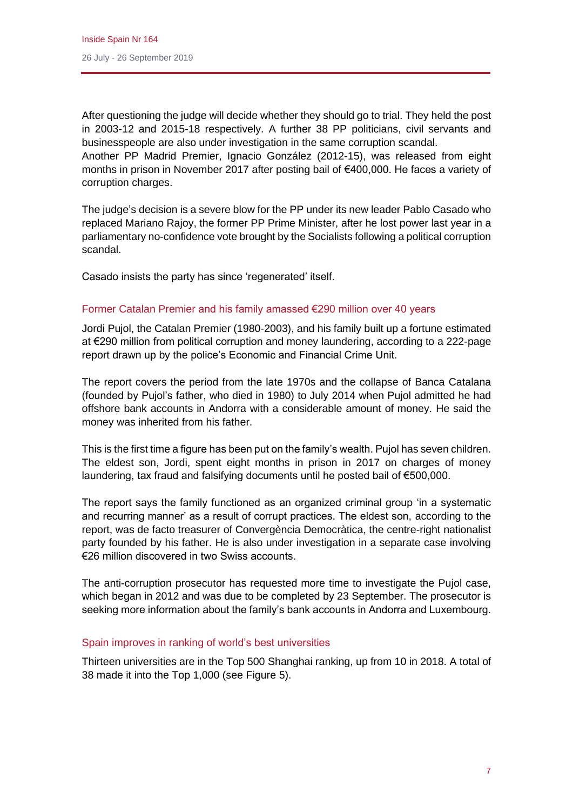After questioning the judge will decide whether they should go to trial. They held the post in 2003-12 and 2015-18 respectively. A further 38 PP politicians, civil servants and businesspeople are also under investigation in the same corruption scandal. Another PP Madrid Premier, Ignacio González (2012-15), was released from eight

months in prison in November 2017 after posting bail of €400,000. He faces a variety of corruption charges.

The judge's decision is a severe blow for the PP under its new leader Pablo Casado who replaced Mariano Rajoy, the former PP Prime Minister, after he lost power last year in a parliamentary no-confidence vote brought by the Socialists following a political corruption scandal.

Casado insists the party has since 'regenerated' itself.

## Former Catalan Premier and his family amassed €290 million over 40 years

Jordi Pujol, the Catalan Premier (1980-2003), and his family built up a fortune estimated at €290 million from political corruption and money laundering, according to a 222-page report drawn up by the police's Economic and Financial Crime Unit.

The report covers the period from the late 1970s and the collapse of Banca Catalana (founded by Pujol's father, who died in 1980) to July 2014 when Pujol admitted he had offshore bank accounts in Andorra with a considerable amount of money. He said the money was inherited from his father.

This is the first time a figure has been put on the family's wealth. Pujol has seven children. The eldest son, Jordi, spent eight months in prison in 2017 on charges of money laundering, tax fraud and falsifying documents until he posted bail of €500,000.

The report says the family functioned as an organized criminal group 'in a systematic and recurring manner' as a result of corrupt practices. The eldest son, according to the report, was de facto treasurer of Convergència Democràtica, the centre-right nationalist party founded by his father. He is also under investigation in a separate case involving €26 million discovered in two Swiss accounts.

The anti-corruption prosecutor has requested more time to investigate the Pujol case, which began in 2012 and was due to be completed by 23 September. The prosecutor is seeking more information about the family's bank accounts in Andorra and Luxembourg.

## Spain improves in ranking of world's best universities

Thirteen universities are in the Top 500 Shanghai ranking, up from 10 in 2018. A total of 38 made it into the Top 1,000 (see Figure 5).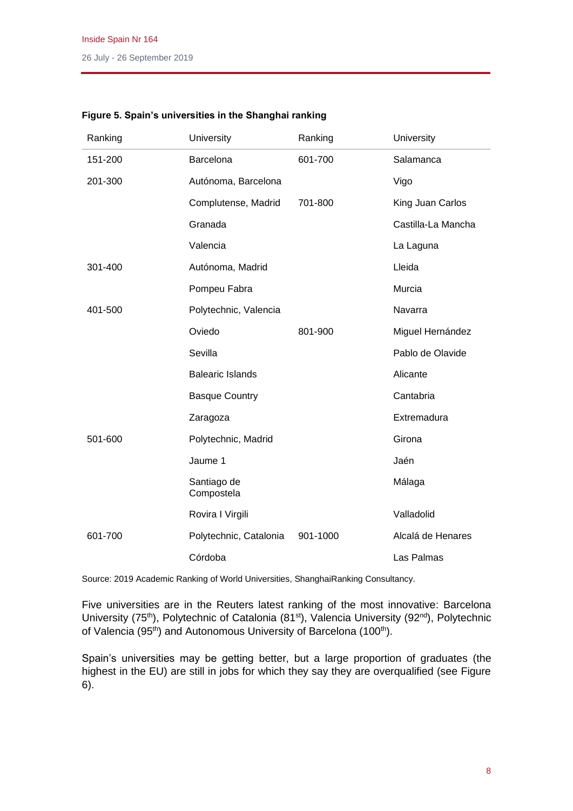| Ranking | University                | Ranking  | University         |
|---------|---------------------------|----------|--------------------|
| 151-200 | Barcelona                 | 601-700  | Salamanca          |
| 201-300 | Autónoma, Barcelona       |          | Vigo               |
|         | Complutense, Madrid       | 701-800  | King Juan Carlos   |
|         | Granada                   |          | Castilla-La Mancha |
|         | Valencia                  |          | La Laguna          |
| 301-400 | Autónoma, Madrid          |          | Lleida             |
|         | Pompeu Fabra              |          | Murcia             |
| 401-500 | Polytechnic, Valencia     |          | Navarra            |
|         | Oviedo                    | 801-900  | Miguel Hernández   |
|         | Sevilla                   |          | Pablo de Olavide   |
|         | <b>Balearic Islands</b>   |          | Alicante           |
|         | <b>Basque Country</b>     |          | Cantabria          |
|         | Zaragoza                  |          | Extremadura        |
| 501-600 | Polytechnic, Madrid       |          | Girona             |
|         | Jaume 1                   |          | Jaén               |
|         | Santiago de<br>Compostela |          | Málaga             |
|         | Rovira I Virgili          |          | Valladolid         |
| 601-700 | Polytechnic, Catalonia    | 901-1000 | Alcalá de Henares  |
|         | Córdoba                   |          | Las Palmas         |

## **Figure 5. Spain's universities in the Shanghai ranking**

Source: 2019 Academic Ranking of World Universities, ShanghaiRanking Consultancy.

Five universities are in the Reuters latest ranking of the most innovative: Barcelona University (75<sup>th</sup>), Polytechnic of Catalonia (81<sup>st</sup>), Valencia University (92<sup>nd</sup>), Polytechnic of Valencia (95<sup>th</sup>) and Autonomous University of Barcelona (100<sup>th</sup>).

Spain's universities may be getting better, but a large proportion of graduates (the highest in the EU) are still in jobs for which they say they are overqualified (see Figure 6).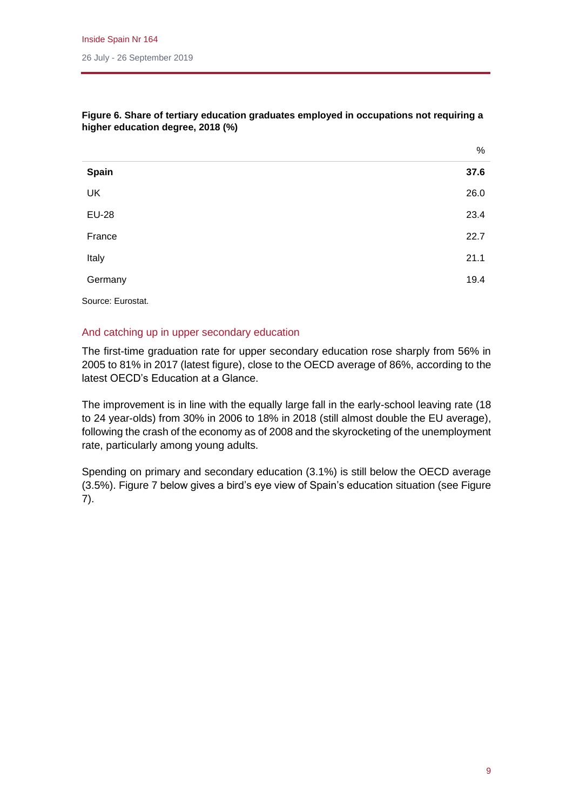|              | $\%$ |
|--------------|------|
| Spain        | 37.6 |
| UK           | 26.0 |
| <b>EU-28</b> | 23.4 |
| France       | 22.7 |
| Italy        | 21.1 |
| Germany      | 19.4 |
|              |      |

## **Figure 6. Share of tertiary education graduates employed in occupations not requiring a higher education degree, 2018 (%)**

Source: Eurostat.

## And catching up in upper secondary education

The first-time graduation rate for upper secondary education rose sharply from 56% in 2005 to 81% in 2017 (latest figure), close to the OECD average of 86%, according to the latest OECD's Education at a Glance.

The improvement is in line with the equally large fall in the early-school leaving rate (18 to 24 year-olds) from 30% in 2006 to 18% in 2018 (still almost double the EU average), following the crash of the economy as of 2008 and the skyrocketing of the unemployment rate, particularly among young adults.

Spending on primary and secondary education (3.1%) is still below the OECD average (3.5%). Figure 7 below gives a bird's eye view of Spain's education situation (see Figure 7).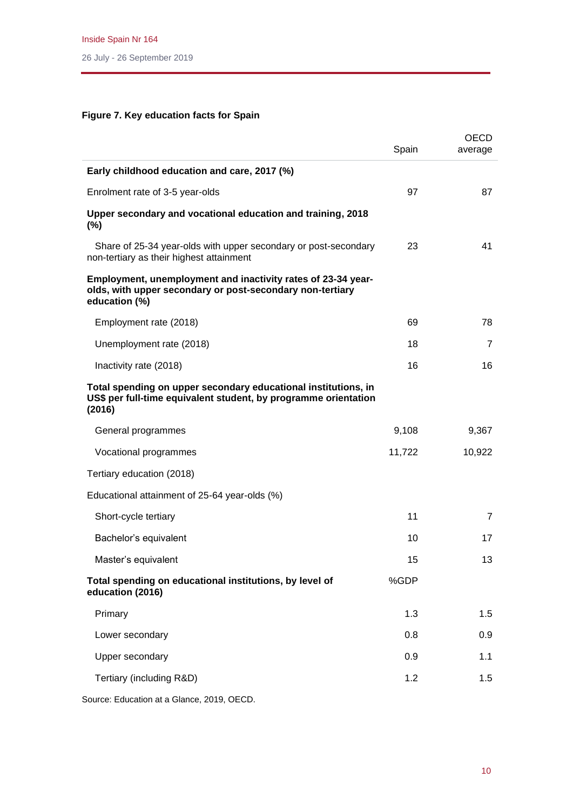# **Figure 7. Key education facts for Spain**

|                                                                                                                                             | Spain  | OECD<br>average |
|---------------------------------------------------------------------------------------------------------------------------------------------|--------|-----------------|
| Early childhood education and care, 2017 (%)                                                                                                |        |                 |
| Enrolment rate of 3-5 year-olds                                                                                                             | 97     | 87              |
| Upper secondary and vocational education and training, 2018<br>$(\%)$                                                                       |        |                 |
| Share of 25-34 year-olds with upper secondary or post-secondary<br>non-tertiary as their highest attainment                                 | 23     | 41              |
| Employment, unemployment and inactivity rates of 23-34 year-<br>olds, with upper secondary or post-secondary non-tertiary<br>education (%)  |        |                 |
| Employment rate (2018)                                                                                                                      | 69     | 78              |
| Unemployment rate (2018)                                                                                                                    | 18     | 7               |
| Inactivity rate (2018)                                                                                                                      | 16     | 16              |
| Total spending on upper secondary educational institutions, in<br>US\$ per full-time equivalent student, by programme orientation<br>(2016) |        |                 |
| General programmes                                                                                                                          | 9,108  | 9,367           |
| Vocational programmes                                                                                                                       | 11,722 | 10,922          |
| Tertiary education (2018)                                                                                                                   |        |                 |
| Educational attainment of 25-64 year-olds (%)                                                                                               |        |                 |
| Short-cycle tertiary                                                                                                                        | 11     | $\overline{7}$  |
| Bachelor's equivalent                                                                                                                       | 10     | 17              |
| Master's equivalent                                                                                                                         | 15     | 13              |
| Total spending on educational institutions, by level of<br>education (2016)                                                                 | %GDP   |                 |
| Primary                                                                                                                                     | 1.3    | 1.5             |
| Lower secondary                                                                                                                             | 0.8    | 0.9             |
| Upper secondary                                                                                                                             | 0.9    | 1.1             |
| Tertiary (including R&D)                                                                                                                    | 1.2    | 1.5             |
|                                                                                                                                             |        |                 |

Source: Education at a Glance, 2019, OECD.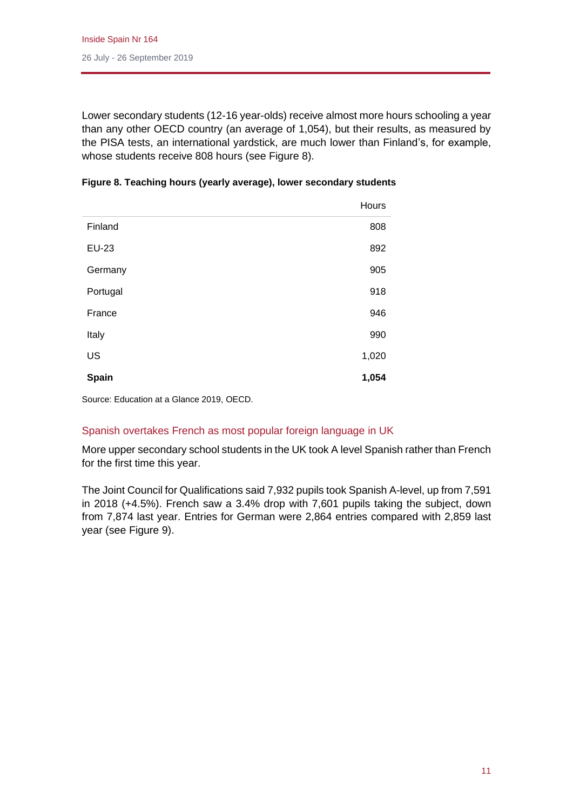Lower secondary students (12-16 year-olds) receive almost more hours schooling a year than any other OECD country (an average of 1,054), but their results, as measured by the PISA tests, an international yardstick, are much lower than Finland's, for example, whose students receive 808 hours (see Figure 8).

|          | Hours |
|----------|-------|
| Finland  | 808   |
| EU-23    | 892   |
| Germany  | 905   |
| Portugal | 918   |
| France   | 946   |
| Italy    | 990   |
| US       | 1,020 |
| Spain    | 1,054 |

| Figure 8. Teaching hours (yearly average), lower secondary students |
|---------------------------------------------------------------------|
|---------------------------------------------------------------------|

Source: Education at a Glance 2019, OECD.

## Spanish overtakes French as most popular foreign language in UK

More upper secondary school students in the UK took A level Spanish rather than French for the first time this year.

The Joint Council for Qualifications said 7,932 pupils took Spanish A-level, up from 7,591 in 2018 (+4.5%). French saw a 3.4% drop with 7,601 pupils taking the subject, down from 7,874 last year. Entries for German were 2,864 entries compared with 2,859 last year (see Figure 9).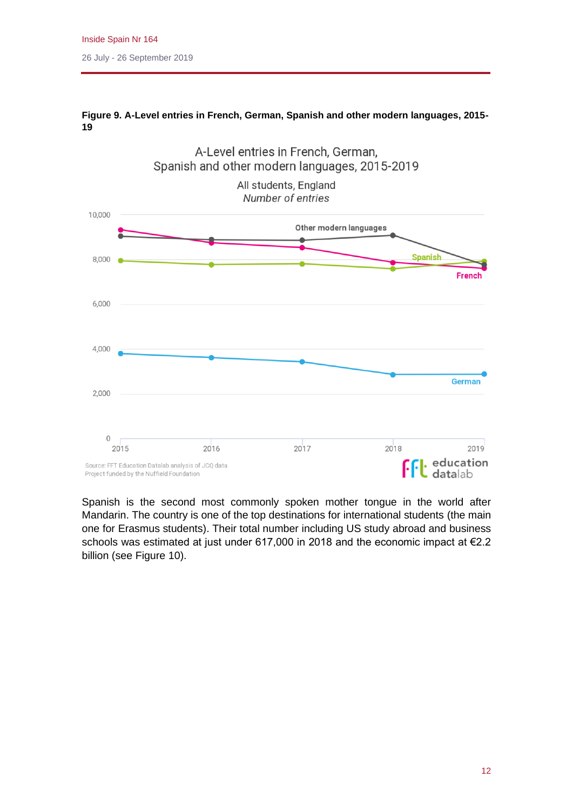

## **Figure 9. A-Level entries in French, German, Spanish and other modern languages, 2015- 19**

Spanish is the second most commonly spoken mother tongue in the world after Mandarin. The country is one of the top destinations for international students (the main one for Erasmus students). Their total number including US study abroad and business schools was estimated at just under 617,000 in 2018 and the economic impact at €2.2 billion (see Figure 10).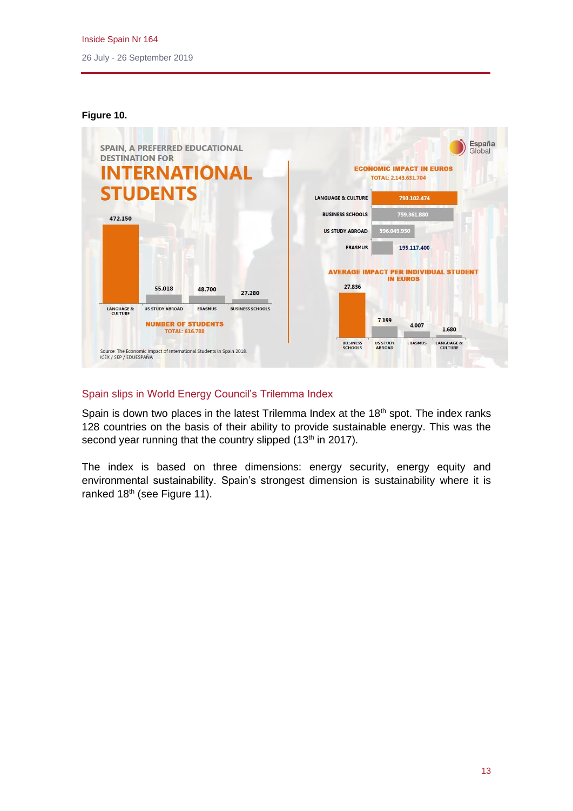

#### **Figure 10.**

## Spain slips in World Energy Council's Trilemma Index

Spain is down two places in the latest Trilemma Index at the 18<sup>th</sup> spot. The index ranks 128 countries on the basis of their ability to provide sustainable energy. This was the second year running that the country slipped (13<sup>th</sup> in 2017).

The index is based on three dimensions: energy security, energy equity and environmental sustainability. Spain's strongest dimension is sustainability where it is ranked 18<sup>th</sup> (see Figure 11).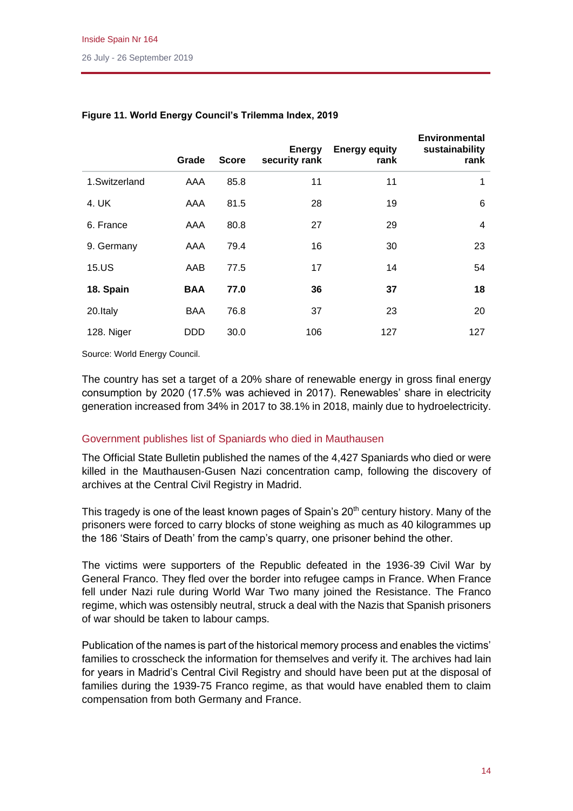|               | Grade      | <b>Score</b> | <b>Energy</b><br>security rank | <b>Energy equity</b><br>rank | <b>Environmental</b><br>sustainability<br>rank |
|---------------|------------|--------------|--------------------------------|------------------------------|------------------------------------------------|
| 1.Switzerland | AAA        | 85.8         | 11                             | 11                           | 1                                              |
| 4. UK         | AAA        | 81.5         | 28                             | 19                           | 6                                              |
| 6. France     | AAA        | 80.8         | 27                             | 29                           | $\overline{4}$                                 |
| 9. Germany    | AAA        | 79.4         | 16                             | 30                           | 23                                             |
| 15.US         | AAB        | 77.5         | 17                             | 14                           | 54                                             |
| 18. Spain     | <b>BAA</b> | 77.0         | 36                             | 37                           | 18                                             |
| 20.Italy      | <b>BAA</b> | 76.8         | 37                             | 23                           | 20                                             |
| 128. Niger    | <b>DDD</b> | 30.0         | 106                            | 127                          | 127                                            |

## **Figure 11. World Energy Council's Trilemma Index, 2019**

Source: World Energy Council.

The country has set a target of a 20% share of renewable energy in gross final energy consumption by 2020 (17.5% was achieved in 2017). Renewables' share in electricity generation increased from 34% in 2017 to 38.1% in 2018, mainly due to hydroelectricity.

## Government publishes list of Spaniards who died in Mauthausen

The Official State Bulletin published the names of the 4,427 Spaniards who died or were killed in the Mauthausen-Gusen Nazi concentration camp, following the discovery of archives at the Central Civil Registry in Madrid.

This tragedy is one of the least known pages of Spain's  $20<sup>th</sup>$  century history. Many of the prisoners were forced to carry blocks of stone weighing as much as 40 kilogrammes up the 186 'Stairs of Death' from the camp's quarry, one prisoner behind the other.

The victims were supporters of the Republic defeated in the 1936-39 Civil War by General Franco. They fled over the border into refugee camps in France. When France fell under Nazi rule during World War Two many joined the Resistance. The Franco regime, which was ostensibly neutral, struck a deal with the Nazis that Spanish prisoners of war should be taken to labour camps.

Publication of the names is part of the historical memory process and enables the victims' families to crosscheck the information for themselves and verify it. The archives had lain for years in Madrid's Central Civil Registry and should have been put at the disposal of families during the 1939-75 Franco regime, as that would have enabled them to claim compensation from both Germany and France.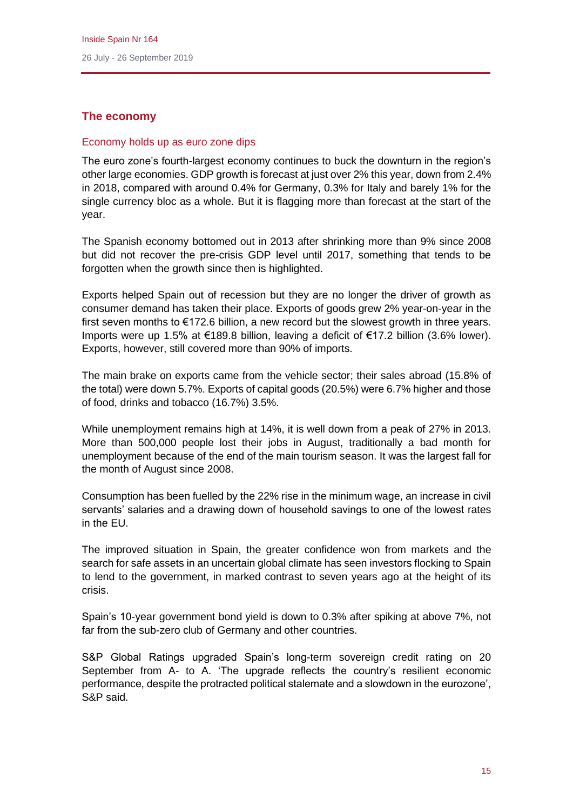# **The economy**

## Economy holds up as euro zone dips

The euro zone's fourth-largest economy continues to buck the downturn in the region's other large economies. GDP growth is forecast at just over 2% this year, down from 2.4% in 2018, compared with around 0.4% for Germany, 0.3% for Italy and barely 1% for the single currency bloc as a whole. But it is flagging more than forecast at the start of the year.

The Spanish economy bottomed out in 2013 after shrinking more than 9% since 2008 but did not recover the pre-crisis GDP level until 2017, something that tends to be forgotten when the growth since then is highlighted.

Exports helped Spain out of recession but they are no longer the driver of growth as consumer demand has taken their place. Exports of goods grew 2% year-on-year in the first seven months to €172.6 billion, a new record but the slowest growth in three years. Imports were up 1.5% at €189.8 billion, leaving a deficit of €17.2 billion (3.6% lower). Exports, however, still covered more than 90% of imports.

The main brake on exports came from the vehicle sector; their sales abroad (15.8% of the total) were down 5.7%. Exports of capital goods (20.5%) were 6.7% higher and those of food, drinks and tobacco (16.7%) 3.5%.

While unemployment remains high at 14%, it is well down from a peak of 27% in 2013. More than 500,000 people lost their jobs in August, traditionally a bad month for unemployment because of the end of the main tourism season. It was the largest fall for the month of August since 2008.

Consumption has been fuelled by the 22% rise in the minimum wage, an increase in civil servants' salaries and a drawing down of household savings to one of the lowest rates in the EU.

The improved situation in Spain, the greater confidence won from markets and the search for safe assets in an uncertain global climate has seen investors flocking to Spain to lend to the government, in marked contrast to seven years ago at the height of its crisis.

Spain's 10-year government bond yield is down to 0.3% after spiking at above 7%, not far from the sub-zero club of Germany and other countries.

S&P Global Ratings upgraded Spain's long-term sovereign credit rating on 20 September from A- to A. 'The upgrade reflects the country's resilient economic performance, despite the protracted political stalemate and a slowdown in the eurozone', S&P said.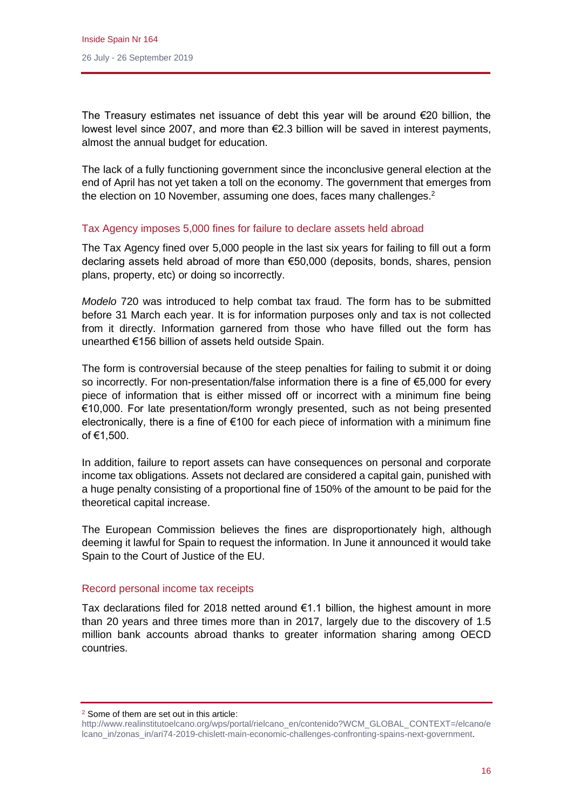The Treasury estimates net issuance of debt this year will be around  $\epsilon$ 20 billion, the lowest level since 2007, and more than €2.3 billion will be saved in interest payments, almost the annual budget for education.

The lack of a fully functioning government since the inconclusive general election at the end of April has not yet taken a toll on the economy. The government that emerges from the election on 10 November, assuming one does, faces many challenges.<sup>2</sup>

## Tax Agency imposes 5,000 fines for failure to declare assets held abroad

The Tax Agency fined over 5,000 people in the last six years for failing to fill out a form declaring assets held abroad of more than €50,000 (deposits, bonds, shares, pension plans, property, etc) or doing so incorrectly.

*Modelo* 720 was introduced to help combat tax fraud. The form has to be submitted before 31 March each year. It is for information purposes only and tax is not collected from it directly. Information garnered from those who have filled out the form has unearthed €156 billion of assets held outside Spain.

The form is controversial because of the steep penalties for failing to submit it or doing so incorrectly. For non-presentation/false information there is a fine of €5,000 for every piece of information that is either missed off or incorrect with a minimum fine being €10,000. For late presentation/form wrongly presented, such as not being presented electronically, there is a fine of €100 for each piece of information with a minimum fine of €1,500.

In addition, failure to report assets can have consequences on personal and corporate income tax obligations. Assets not declared are considered a capital gain, punished with a huge penalty consisting of a proportional fine of 150% of the amount to be paid for the theoretical capital increase.

The European Commission believes the fines are disproportionately high, although deeming it lawful for Spain to request the information. In June it announced it would take Spain to the Court of Justice of the EU.

#### Record personal income tax receipts

Tax declarations filed for 2018 netted around  $\epsilon$ 1.1 billion, the highest amount in more than 20 years and three times more than in 2017, largely due to the discovery of 1.5 million bank accounts abroad thanks to greater information sharing among OECD countries.

<sup>2</sup> Some of them are set out in this article:

[http://www.realinstitutoelcano.org/wps/portal/rielcano\\_en/contenido?WCM\\_GLOBAL\\_CONTEXT=/elcano/e](http://www.realinstitutoelcano.org/wps/portal/rielcano_en/contenido?WCM_GLOBAL_CONTEXT=/elcano/elcano_in/zonas_in/ari74-2019-chislett-main-economic-challenges-confronting-spains-next-government) [lcano\\_in/zonas\\_in/ari74-2019-chislett-main-economic-challenges-confronting-spains-next-government.](http://www.realinstitutoelcano.org/wps/portal/rielcano_en/contenido?WCM_GLOBAL_CONTEXT=/elcano/elcano_in/zonas_in/ari74-2019-chislett-main-economic-challenges-confronting-spains-next-government)